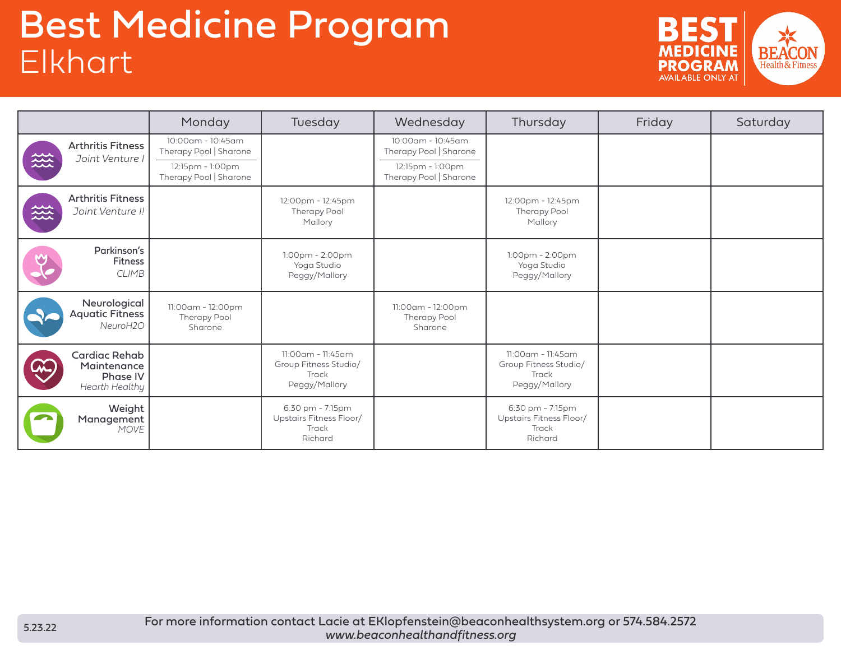## Best Medicine Program Elkhart



|            |                                                                          | Monday                                       | Tuesday                                                              | Wednesday                                    | Thursday                                                             | Friday | Saturday |
|------------|--------------------------------------------------------------------------|----------------------------------------------|----------------------------------------------------------------------|----------------------------------------------|----------------------------------------------------------------------|--------|----------|
| 幾          | <b>Arthritis Fitness</b><br>Joint Venture I                              | 10:00am - 10:45am<br>Therapy Pool   Sharone  |                                                                      | 10:00am - 10:45am<br>Therapy Pool   Sharone  |                                                                      |        |          |
|            |                                                                          | 12:15pm - 1:00pm<br>Therapy Pool   Sharone   |                                                                      | 12:15pm - 1:00pm<br>Therapy Pool   Sharone   |                                                                      |        |          |
| 然          | <b>Arthritis Fitness</b><br>Joint Venture !!                             |                                              | 12:00pm - 12:45pm<br>Therapy Pool<br>Mallory                         |                                              | 12:00pm - 12:45pm<br>Therapy Pool<br>Mallory                         |        |          |
| M          | Parkinson's<br><b>Fitness</b><br><b>CLIMB</b>                            |                                              | $1:00$ pm - $2:00$ pm<br>Yoga Studio<br>Peggy/Mallory                |                                              | $1:00$ pm - $2:00$ pm<br>Yoga Studio<br>Peggy/Mallory                |        |          |
|            | Neurological<br><b>Aquatic Fitness</b><br>NeuroH2O                       | 11:00am - 12:00pm<br>Therapy Pool<br>Sharone |                                                                      | 11:00am - 12:00pm<br>Therapy Pool<br>Sharone |                                                                      |        |          |
| <b>CAS</b> | <b>Cardiac Rehab</b><br>Maintenance<br><b>Phase IV</b><br>Hearth Healthy |                                              | 11:00am - 11:45am<br>Group Fitness Studio/<br>Track<br>Peggy/Mallory |                                              | 11:00am - 11:45am<br>Group Fitness Studio/<br>Track<br>Peggy/Mallory |        |          |
|            | Weight<br>Management<br>MOVE                                             |                                              | 6:30 pm - 7:15pm<br>Upstairs Fitness Floor/<br>Track<br>Richard      |                                              | 6:30 pm - 7:15pm<br>Upstairs Fitness Floor/<br>Track<br>Richard      |        |          |

For more information contact Lacie at EKlopfenstein@beaconhealthsystem.org or 574.584.2572 *www.beaconhealthandfitness.org*